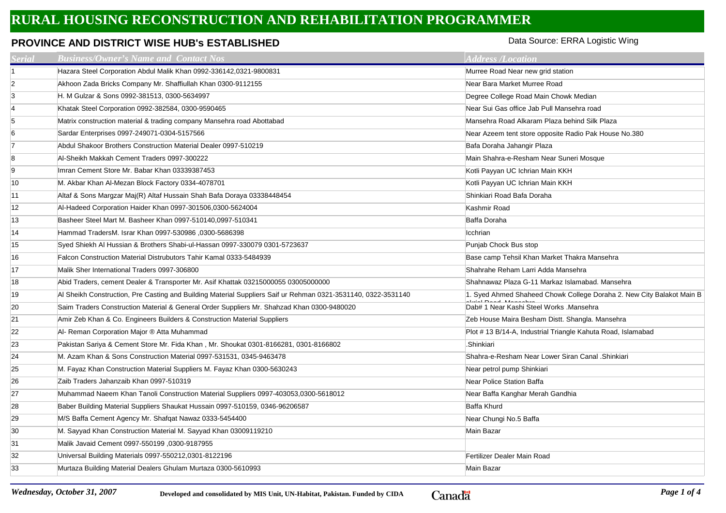## **RURAL HOUSING RECONSTRUCTION AND REHABILITATION PROGRAMMER**

## **PROVINCE AND DISTRICT WISE HUB's ESTABLISHED**

Data Source: ERRA Logistic Wing

| <b>Serial</b>  | <b>Business/Owner's Name and Contact Nos</b>                                                                  | <b>Address /Location</b>                                              |
|----------------|---------------------------------------------------------------------------------------------------------------|-----------------------------------------------------------------------|
| $\blacksquare$ | Hazara Steel Corporation Abdul Malik Khan 0992-336142,0321-9800831                                            | Murree Road Near new grid station                                     |
| $\overline{2}$ | Akhoon Zada Bricks Company Mr. Shaffiullah Khan 0300-9112155                                                  | Near Bara Market Murree Road                                          |
| 3              | H. M Gulzar & Sons 0992-381513, 0300-5634997                                                                  | Degree College Road Main Chowk Median                                 |
| $\overline{4}$ | Khatak Steel Corporation 0992-382584, 0300-9590465                                                            | Near Sui Gas office Jab Pull Mansehra road                            |
| 5              | Matrix construction material & trading company Mansehra road Abottabad                                        | Mansehra Road Alkaram Plaza behind Silk Plaza                         |
| 6              | Sardar Enterprises 0997-249071-0304-5157566                                                                   | Near Azeem tent store opposite Radio Pak House No.380                 |
| $\overline{7}$ | Abdul Shakoor Brothers Construction Material Dealer 0997-510219                                               | Bafa Doraha Jahangir Plaza                                            |
| 8              | Al-Sheikh Makkah Cement Traders 0997-300222                                                                   | Main Shahra-e-Resham Near Suneri Mosque                               |
| 9              | Imran Cement Store Mr. Babar Khan 03339387453                                                                 | Kotli Payyan UC Ichrian Main KKH                                      |
| 10             | M. Akbar Khan Al-Mezan Block Factory 0334-4078701                                                             | Kotli Payyan UC Ichrian Main KKH                                      |
| 11             | Altaf & Sons Margzar Maj(R) Altaf Hussain Shah Bafa Doraya 03338448454                                        | Shinkiari Road Bafa Doraha                                            |
| 12             | Al-Hadeed Corporation Haider Khan 0997-301506,0300-5624004                                                    | Kashmir Road                                                          |
| 13             | Basheer Steel Mart M. Basheer Khan 0997-510140,0997-510341                                                    | Baffa Doraha                                                          |
| 14             | Hammad TradersM. Israr Khan 0997-530986,0300-5686398                                                          | Icchrian                                                              |
| 15             | Syed Shiekh Al Hussian & Brothers Shabi-ul-Hassan 0997-330079 0301-5723637                                    | Punjab Chock Bus stop                                                 |
| 16             | Falcon Construction Material Distrubutors Tahir Kamal 0333-5484939                                            | Base camp Tehsil Khan Market Thakra Mansehra                          |
| 17             | Malik Sher International Traders 0997-306800                                                                  | Shahrahe Reham Larri Adda Mansehra                                    |
| 18             | Abid Traders, cement Dealer & Transporter Mr. Asif Khattak 03215000055 03005000000                            | Shahnawaz Plaza G-11 Markaz Islamabad. Mansehra                       |
| 19             | Al Sheikh Construction, Pre Casting and Building Material Suppliers Saif ur Rehman 0321-3531140, 0322-3531140 | 1. Syed Ahmed Shaheed Chowk College Doraha 2. New City Balakot Main B |
| 20             | Saim Traders Construction Material & General Order Suppliers Mr. Shahzad Khan 0300-9480020                    | Dab# 1 Near Kashi Steel Works .Mansehra                               |
| 21             | Amir Zeb Khan & Co. Engineers Builders & Construction Material Suppliers                                      | Zeb House Maira Besham Distt. Shangla. Mansehra                       |
| 22             | Al- Reman Corporation Major ® Atta Muhammad                                                                   | Plot # 13 B/14-A, Industrial Triangle Kahuta Road, Islamabad          |
| 23             | Pakistan Sariya & Cement Store Mr. Fida Khan, Mr. Shoukat 0301-8166281, 0301-8166802                          | .Shinkiari                                                            |
| 24             | M. Azam Khan & Sons Construction Material 0997-531531, 0345-9463478                                           | Shahra-e-Resham Near Lower Siran Canal . Shinkiari                    |
| 25             | M. Fayaz Khan Construction Material Suppliers M. Fayaz Khan 0300-5630243                                      | Near petrol pump Shinkiari                                            |
| 26             | Zaib Traders Jahanzaib Khan 0997-510319                                                                       | Near Police Station Baffa                                             |
| 27             | Muhammad Naeem Khan Tanoli Construction Material Suppliers 0997-403053,0300-5618012                           | Near Baffa Kanghar Merah Gandhia                                      |
| 28             | Baber Building Material Suppliers Shaukat Hussain 0997-510159, 0346-96206587                                  | <b>Baffa Khurd</b>                                                    |
| 29             | M/S Baffa Cement Agency Mr. Shafqat Nawaz 0333-5454400                                                        | Near Chungi No.5 Baffa                                                |
| 30             | M. Sayyad Khan Construction Material M. Sayyad Khan 03009119210                                               | Main Bazar                                                            |
| 31             | Malik Javaid Cement 0997-550199, 0300-9187955                                                                 |                                                                       |
| 32             | Universal Building Materials 0997-550212,0301-8122196                                                         | Fertilizer Dealer Main Road                                           |
| 33             | Murtaza Building Material Dealers Ghulam Murtaza 0300-5610993                                                 | Main Bazar                                                            |

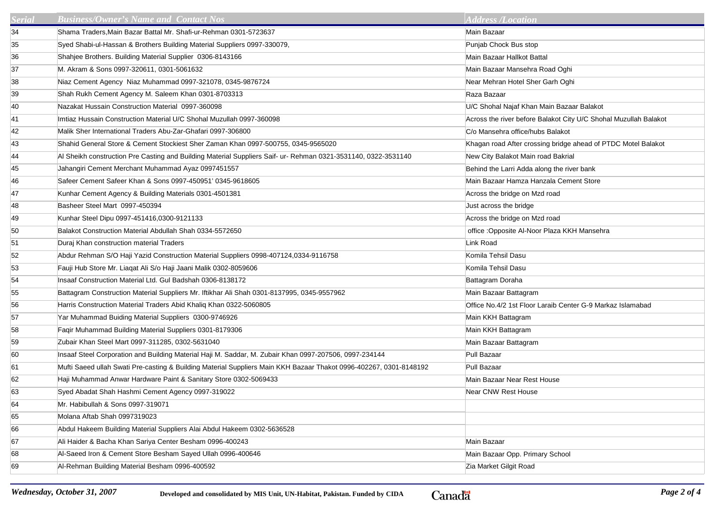| <b>Serial</b> | <b>Business/Owner's Name and Contact Nos</b>                                                                       | <b>Address /Location</b>                                         |
|---------------|--------------------------------------------------------------------------------------------------------------------|------------------------------------------------------------------|
| 34            | Shama Traders, Main Bazar Battal Mr. Shafi-ur-Rehman 0301-5723637                                                  | Main Bazaar                                                      |
| 35            | Syed Shabi-ul-Hassan & Brothers Building Material Suppliers 0997-330079,                                           | Punjab Chock Bus stop                                            |
| 36            | Shahjee Brothers. Building Material Supplier 0306-8143166                                                          | Main Bazaar Hallkot Battal                                       |
| 37            | M. Akram & Sons 0997-320611, 0301-5061632                                                                          | Main Bazaar Mansehra Road Oghi                                   |
| 38            | Niaz Cement Agency Niaz Muhammad 0997-321078, 0345-9876724                                                         | Near Mehran Hotel Sher Garh Oghi                                 |
| 39            | Shah Rukh Cement Agency M. Saleem Khan 0301-8703313                                                                | Raza Bazaar                                                      |
| 40            | Nazakat Hussain Construction Material 0997-360098                                                                  | U/C Shohal Najaf Khan Main Bazaar Balakot                        |
| 41            | Imtiaz Hussain Construction Material U/C Shohal Muzullah 0997-360098                                               | Across the river before Balakot City U/C Shohal Muzullah Balakot |
| 42            | Malik Sher International Traders Abu-Zar-Ghafari 0997-306800                                                       | C/o Mansehra office/hubs Balakot                                 |
| 43            | Shahid General Store & Cement Stockiest Sher Zaman Khan 0997-500755, 0345-9565020                                  | Khagan road After crossing bridge ahead of PTDC Motel Balakot    |
| 44            | Al Sheikh construction Pre Casting and Building Material Suppliers Saif- ur- Rehman 0321-3531140, 0322-3531140     | New City Balakot Main road Bakrial                               |
| 45            | Jahangiri Cement Merchant Muhammad Ayaz 0997451557                                                                 | Behind the Larri Adda along the river bank                       |
| 46            | Safeer Cement Safeer Khan & Sons 0997-450951' 0345-9618605                                                         | Main Bazaar Hamza Hanzala Cement Store                           |
| 47            | Kunhar Cement Agency & Building Materials 0301-4501381                                                             | Across the bridge on Mzd road                                    |
| 48            | Basheer Steel Mart 0997-450394                                                                                     | Just across the bridge                                           |
| 49            | Kunhar Steel Dipu 0997-451416,0300-9121133                                                                         | Across the bridge on Mzd road                                    |
| 50            | Balakot Construction Material Abdullah Shah 0334-5572650                                                           | office : Opposite Al-Noor Plaza KKH Mansehra                     |
| 51            | Duraj Khan construction material Traders                                                                           | Link Road                                                        |
| 52            | Abdur Rehman S/O Haji Yazid Construction Material Suppliers 0998-407124,0334-9116758                               | Komila Tehsil Dasu                                               |
| 53            | Fauji Hub Store Mr. Liaqat Ali S/o Haji Jaani Malik 0302-8059606                                                   | Komila Tehsil Dasu                                               |
| 54            | Insaaf Construction Material Ltd. Gul Badshah 0306-8138172                                                         | Battagram Doraha                                                 |
| 55            | Battagram Construction Material Suppliers Mr. Iftikhar Ali Shah 0301-8137995, 0345-9557962                         | Main Bazaar Battagram                                            |
| 56            | Harris Construction Material Traders Abid Khaliq Khan 0322-5060805                                                 | Office No.4/2 1st Floor Laraib Center G-9 Markaz Islamabad       |
| 57            | Yar Muhammad Buiding Material Suppliers 0300-9746926                                                               | Main KKH Battagram                                               |
| 58            | Faqir Muhammad Building Material Suppliers 0301-8179306                                                            | Main KKH Battagram                                               |
| 59            | Zubair Khan Steel Mart 0997-311285, 0302-5631040                                                                   | Main Bazaar Battagram                                            |
| 60            | Insaaf Steel Corporation and Building Material Haji M. Saddar, M. Zubair Khan 0997-207506, 0997-234144             | Pull Bazaar                                                      |
| 61            | Mufti Saeed ullah Swati Pre-casting & Building Material Suppliers Main KKH Bazaar Thakot 0996-402267, 0301-8148192 | Pull Bazaar                                                      |
| 62            | Haji Muhammad Anwar Hardware Paint & Sanitary Store 0302-5069433                                                   | Main Bazaar Near Rest House                                      |
| 63            | Syed Abadat Shah Hashmi Cement Agency 0997-319022                                                                  | <b>Near CNW Rest House</b>                                       |
| 64            | Mr. Habibullah & Sons 0997-319071                                                                                  |                                                                  |
| 65            | Molana Aftab Shah 0997319023                                                                                       |                                                                  |
| 66            | Abdul Hakeem Building Material Suppliers Alai Abdul Hakeem 0302-5636528                                            |                                                                  |
| 67            | Ali Haider & Bacha Khan Sariya Center Besham 0996-400243                                                           | Main Bazaar                                                      |
| 68            | Al-Saeed Iron & Cement Store Besham Sayed Ullah 0996-400646                                                        | Main Bazaar Opp. Primary School                                  |
| 69            | Al-Rehman Building Material Besham 0996-400592                                                                     | Zia Market Gilgit Road                                           |

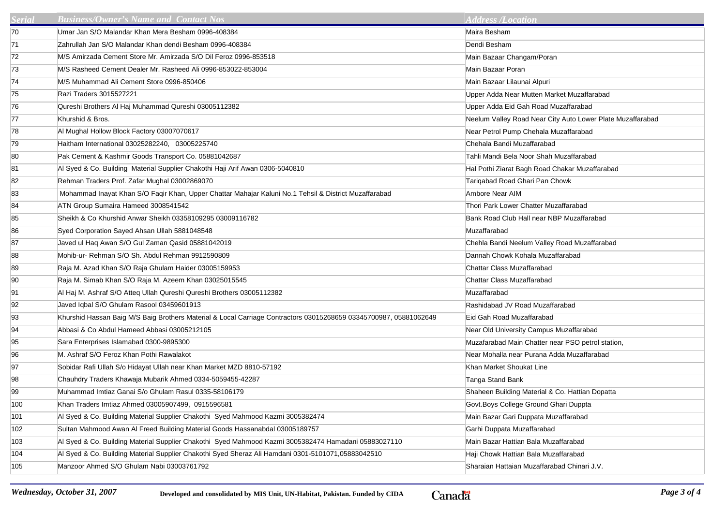| Serial | <b>Business/Owner's Name and Contact Nos</b>                                                                      | <b>Address /Location</b>                                   |
|--------|-------------------------------------------------------------------------------------------------------------------|------------------------------------------------------------|
| 70     | Umar Jan S/O Malandar Khan Mera Besham 0996-408384                                                                | Maira Besham                                               |
| 71     | Zahrullah Jan S/O Malandar Khan dendi Besham 0996-408384                                                          | Dendi Besham                                               |
| 72     | M/S Amirzada Cement Store Mr. Amirzada S/O Dil Feroz 0996-853518                                                  | Main Bazaar Changam/Poran                                  |
| 73     | M/S Rasheed Cement Dealer Mr. Rasheed Ali 0996-853022-853004                                                      | Main Bazaar Poran                                          |
| 74     | M/S Muhammad Ali Cement Store 0996-850406                                                                         | Main Bazaar Lilaunai Alpuri                                |
| 75     | Razi Traders 3015527221                                                                                           | Upper Adda Near Mutten Market Muzaffarabad                 |
| 76     | Qureshi Brothers Al Haj Muhammad Qureshi 03005112382                                                              | Upper Adda Eid Gah Road Muzaffarabad                       |
| 77     | Khurshid & Bros.                                                                                                  | Neelum Valley Road Near City Auto Lower Plate Muzaffarabad |
| 78     | Al Mughal Hollow Block Factory 03007070617                                                                        | Near Petrol Pump Chehala Muzaffarabad                      |
| 79     | Haitham International 03025282240, 03005225740                                                                    | Chehala Bandi Muzaffarabad                                 |
| 80     | Pak Cement & Kashmir Goods Transport Co. 05881042687                                                              | Tahli Mandi Bela Noor Shah Muzaffarabad                    |
| 81     | Al Syed & Co. Building Material Supplier Chakothi Haji Arif Awan 0306-5040810                                     | Hal Pothi Ziarat Bagh Road Chakar Muzaffarabad             |
| 82     | Rehman Traders Prof. Zafar Mughal 03002869070                                                                     | Tarigabad Road Ghari Pan Chowk                             |
| 83     | Mohammad Inayat Khan S/O Faqir Khan, Upper Chattar Mahajar Kaluni No.1 Tehsil & District Muzaffarabad             | Ambore Near AIM                                            |
| 84     | ATN Group Sumaira Hameed 3008541542                                                                               | Thori Park Lower Chatter Muzaffarabad                      |
| 85     | Sheikh & Co Khurshid Anwar Sheikh 03358109295 03009116782                                                         | Bank Road Club Hall near NBP Muzaffarabad                  |
| 86     | Syed Corporation Sayed Ahsan Ullah 5881048548                                                                     | Muzaffarabad                                               |
| 87     | Javed ul Haq Awan S/O Gul Zaman Qasid 05881042019                                                                 | Chehla Bandi Neelum Valley Road Muzaffarabad               |
| 88     | Mohib-ur- Rehman S/O Sh. Abdul Rehman 9912590809                                                                  | Dannah Chowk Kohala Muzaffarabad                           |
| 89     | Raja M. Azad Khan S/O Raja Ghulam Haider 03005159953                                                              | Chattar Class Muzaffarabad                                 |
| 90     | Raja M. Simab Khan S/O Raja M. Azeem Khan 03025015545                                                             | Chattar Class Muzaffarabad                                 |
| 91     | Al Haj M. Ashraf S/O Atteq Ullah Qureshi Qureshi Brothers 03005112382                                             | Muzaffarabad                                               |
| 92     | Javed Iqbal S/O Ghulam Rasool 03459601913                                                                         | Rashidabad JV Road Muzaffarabad                            |
| 93     | Khurshid Hassan Baig M/S Baig Brothers Material & Local Carriage Contractors 03015268659 03345700987, 05881062649 | Eid Gah Road Muzaffarabad                                  |
| 94     | Abbasi & Co Abdul Hameed Abbasi 03005212105                                                                       | Near Old University Campus Muzaffarabad                    |
| 95     | Sara Enterprises Islamabad 0300-9895300                                                                           | Muzafarabad Main Chatter near PSO petrol station,          |
| 96     | M. Ashraf S/O Feroz Khan Pothi Rawalakot                                                                          | Near Mohalla near Purana Adda Muzaffarabad                 |
| 97     | Sobidar Rafi Ullah S/o Hidayat Ullah near Khan Market MZD 8810-57192                                              | Khan Market Shoukat Line                                   |
| 98     | Chauhdry Traders Khawaja Mubarik Ahmed 0334-5059455-42287                                                         | Tanga Stand Bank                                           |
| 99     | Muhammad Imtiaz Ganai S/o Ghulam Rasul 0335-58106179                                                              | Shaheen Building Material & Co. Hattian Dopatta            |
| 100    | Khan Traders Imtiaz Ahmed 03005907499, 0915596581                                                                 | Govt. Boys College Ground Ghari Duppta                     |
| 101    | Al Syed & Co. Building Material Supplier Chakothi Syed Mahmood Kazmi 3005382474                                   | Main Bazar Gari Duppata Muzaffarabad                       |
| 102    | Sultan Mahmood Awan Al Freed Building Material Goods Hassanabdal 03005189757                                      | Garhi Duppata Muzaffarabad                                 |
| 103    | Al Syed & Co. Building Material Supplier Chakothi Syed Mahmood Kazmi 3005382474 Hamadani 05883027110              | Main Bazar Hattian Bala Muzaffarabad                       |
| 104    | Al Syed & Co. Building Material Supplier Chakothi Syed Sheraz Ali Hamdani 0301-5101071,05883042510                | Haji Chowk Hattian Bala Muzaffarabad                       |
| 105    | Manzoor Ahmed S/O Ghulam Nabi 03003761792                                                                         | Sharaian Hattaian Muzaffarabad Chinari J.V.                |